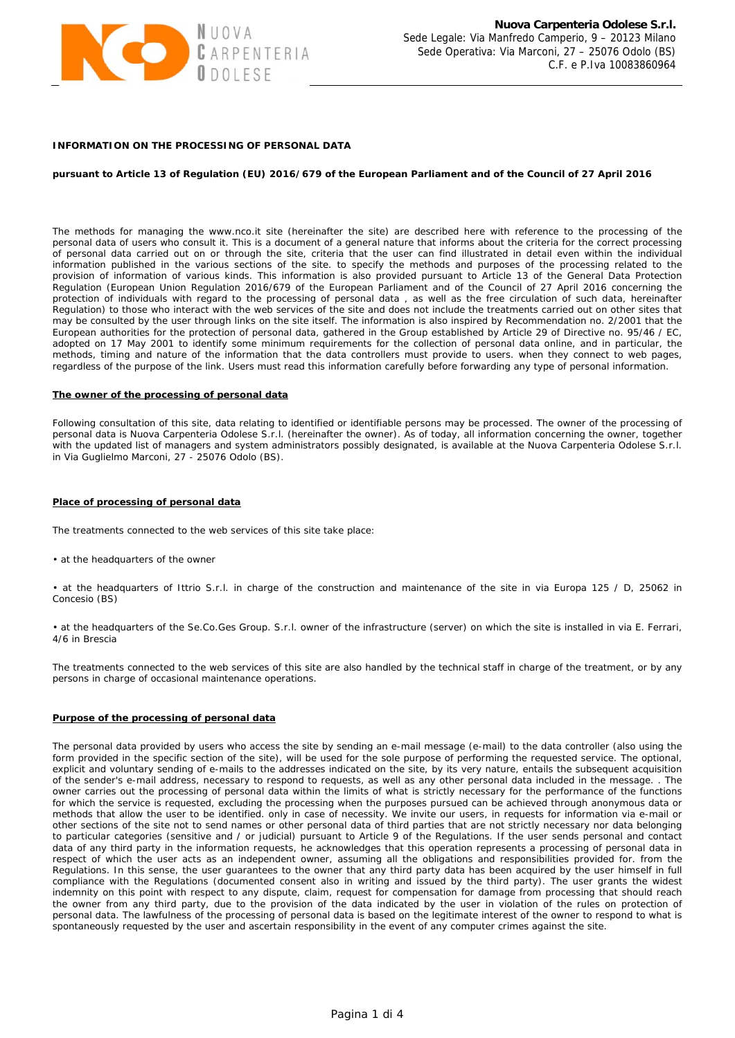

# **INFORMATION ON THE PROCESSING OF PERSONAL DATA**

## **pursuant to Article 13 of Regulation (EU) 2016/679 of the European Parliament and of the Council of 27 April 2016**

The methods for managing the www.nco.it site (hereinafter the site) are described here with reference to the processing of the personal data of users who consult it. This is a document of a general nature that informs about the criteria for the correct processing of personal data carried out on or through the site, criteria that the user can find illustrated in detail even within the individual information published in the various sections of the site. to specify the methods and purposes of the processing related to the provision of information of various kinds. This information is also provided pursuant to Article 13 of the General Data Protection Regulation (European Union Regulation 2016/679 of the European Parliament and of the Council of 27 April 2016 concerning the protection of individuals with regard to the processing of personal data , as well as the free circulation of such data, hereinafter Regulation) to those who interact with the web services of the site and does not include the treatments carried out on other sites that may be consulted by the user through links on the site itself. The information is also inspired by Recommendation no. 2/2001 that the European authorities for the protection of personal data, gathered in the Group established by Article 29 of Directive no. 95/46 / EC, adopted on 17 May 2001 to identify some minimum requirements for the collection of personal data online, and in particular, the methods, timing and nature of the information that the data controllers must provide to users. when they connect to web pages, regardless of the purpose of the link. Users must read this information carefully before forwarding any type of personal information.

#### **The owner of the processing of personal data**

Following consultation of this site, data relating to identified or identifiable persons may be processed. The owner of the processing of personal data is Nuova Carpenteria Odolese S.r.l. (hereinafter the owner). As of today, all information concerning the owner, together with the updated list of managers and system administrators possibly designated, is available at the Nuova Carpenteria Odolese S.r.l. in Via Guglielmo Marconi, 27 - 25076 Odolo (BS).

#### **Place of processing of personal data**

The treatments connected to the web services of this site take place:

• at the headquarters of the owner

• at the headquarters of Ittrio S.r.l. in charge of the construction and maintenance of the site in via Europa 125 / D, 25062 in Concesio (BS)

• at the headquarters of the Se.Co.Ges Group. S.r.l. owner of the infrastructure (server) on which the site is installed in via E. Ferrari, 4/6 in Brescia

The treatments connected to the web services of this site are also handled by the technical staff in charge of the treatment, or by any persons in charge of occasional maintenance operations.

# **Purpose of the processing of personal data**

The personal data provided by users who access the site by sending an e-mail message (e-mail) to the data controller (also using the form provided in the specific section of the site), will be used for the sole purpose of performing the requested service. The optional, explicit and voluntary sending of e-mails to the addresses indicated on the site, by its very nature, entails the subsequent acquisition of the sender's e-mail address, necessary to respond to requests, as well as any other personal data included in the message. . The owner carries out the processing of personal data within the limits of what is strictly necessary for the performance of the functions for which the service is requested, excluding the processing when the purposes pursued can be achieved through anonymous data or methods that allow the user to be identified. only in case of necessity. We invite our users, in requests for information via e-mail or other sections of the site not to send names or other personal data of third parties that are not strictly necessary nor data belonging to particular categories (sensitive and / or judicial) pursuant to Article 9 of the Regulations. If the user sends personal and contact data of any third party in the information requests, he acknowledges that this operation represents a processing of personal data in respect of which the user acts as an independent owner, assuming all the obligations and responsibilities provided for. from the Regulations. In this sense, the user guarantees to the owner that any third party data has been acquired by the user himself in full compliance with the Regulations (documented consent also in writing and issued by the third party). The user grants the widest indemnity on this point with respect to any dispute, claim, request for compensation for damage from processing that should reach the owner from any third party, due to the provision of the data indicated by the user in violation of the rules on protection of personal data. The lawfulness of the processing of personal data is based on the legitimate interest of the owner to respond to what is spontaneously requested by the user and ascertain responsibility in the event of any computer crimes against the site.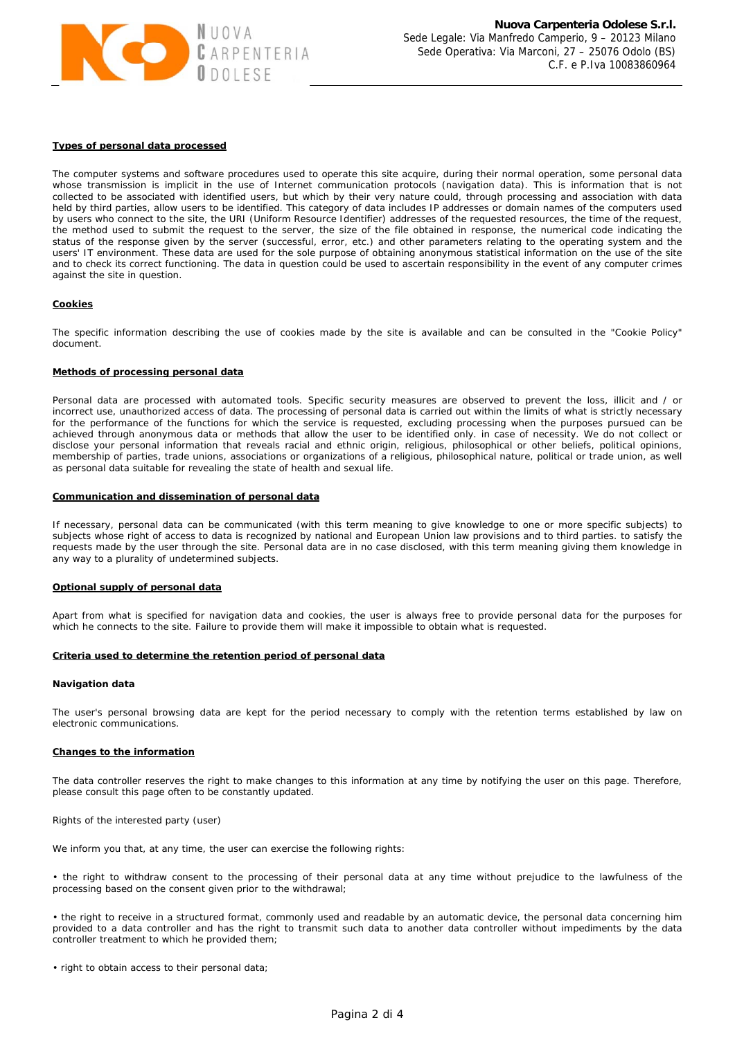

## **Types of personal data processed**

The computer systems and software procedures used to operate this site acquire, during their normal operation, some personal data whose transmission is implicit in the use of Internet communication protocols (navigation data). This is information that is not collected to be associated with identified users, but which by their very nature could, through processing and association with data held by third parties, allow users to be identified. This category of data includes IP addresses or domain names of the computers used by users who connect to the site, the URI (Uniform Resource Identifier) addresses of the requested resources, the time of the request, the method used to submit the request to the server, the size of the file obtained in response, the numerical code indicating the status of the response given by the server (successful, error, etc.) and other parameters relating to the operating system and the users' IT environment. These data are used for the sole purpose of obtaining anonymous statistical information on the use of the site and to check its correct functioning. The data in question could be used to ascertain responsibility in the event of any computer crimes against the site in question.

## **Cookies**

The specific information describing the use of cookies made by the site is available and can be consulted in the "Cookie Policy" document.

## **Methods of processing personal data**

Personal data are processed with automated tools. Specific security measures are observed to prevent the loss, illicit and / or incorrect use, unauthorized access of data. The processing of personal data is carried out within the limits of what is strictly necessary for the performance of the functions for which the service is requested, excluding processing when the purposes pursued can be achieved through anonymous data or methods that allow the user to be identified only. in case of necessity. We do not collect or disclose your personal information that reveals racial and ethnic origin, religious, philosophical or other beliefs, political opinions, membership of parties, trade unions, associations or organizations of a religious, philosophical nature, political or trade union, as well as personal data suitable for revealing the state of health and sexual life.

## **Communication and dissemination of personal data**

If necessary, personal data can be communicated (with this term meaning to give knowledge to one or more specific subjects) to subjects whose right of access to data is recognized by national and European Union law provisions and to third parties. to satisfy the requests made by the user through the site. Personal data are in no case disclosed, with this term meaning giving them knowledge in any way to a plurality of undetermined subjects.

## **Optional supply of personal data**

Apart from what is specified for navigation data and cookies, the user is always free to provide personal data for the purposes for which he connects to the site. Failure to provide them will make it impossible to obtain what is requested.

### **Criteria used to determine the retention period of personal data**

### **Navigation data**

The user's personal browsing data are kept for the period necessary to comply with the retention terms established by law on electronic communications.

### **Changes to the information**

The data controller reserves the right to make changes to this information at any time by notifying the user on this page. Therefore, please consult this page often to be constantly updated.

Rights of the interested party (user)

We inform you that, at any time, the user can exercise the following rights:

• the right to withdraw consent to the processing of their personal data at any time without prejudice to the lawfulness of the processing based on the consent given prior to the withdrawal;

• the right to receive in a structured format, commonly used and readable by an automatic device, the personal data concerning him provided to a data controller and has the right to transmit such data to another data controller without impediments by the data controller treatment to which he provided them;

• right to obtain access to their personal data;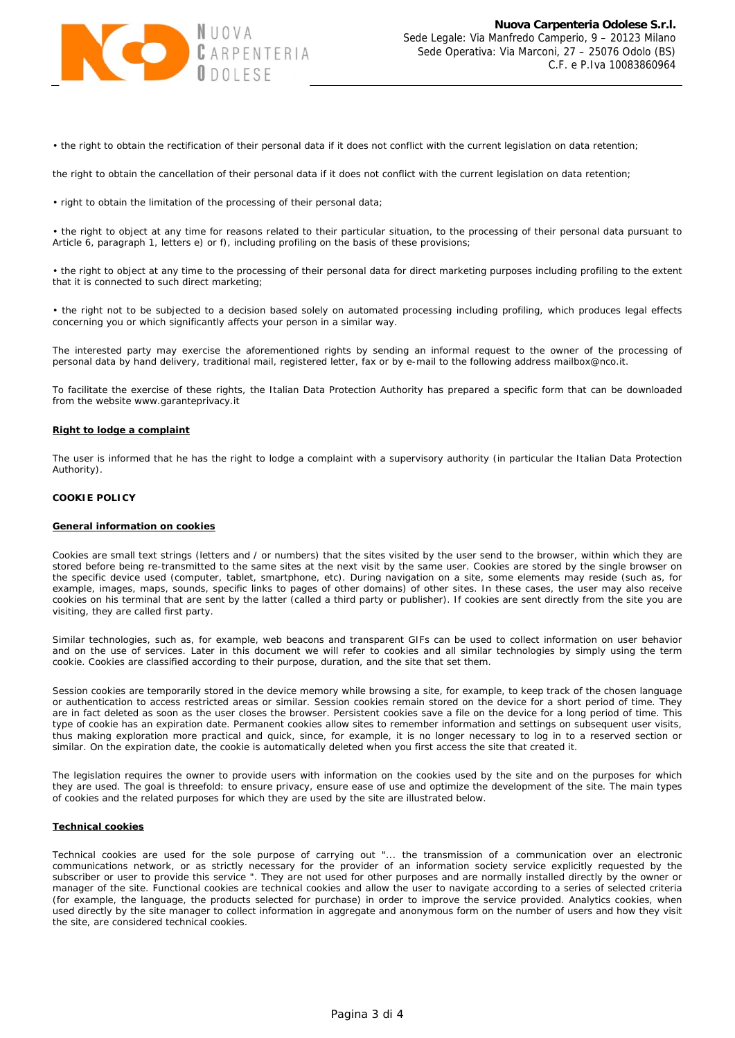

• the right to obtain the rectification of their personal data if it does not conflict with the current legislation on data retention;

the right to obtain the cancellation of their personal data if it does not conflict with the current legislation on data retention;

• right to obtain the limitation of the processing of their personal data;

• the right to object at any time for reasons related to their particular situation, to the processing of their personal data pursuant to Article 6, paragraph 1, letters e) or f), including profiling on the basis of these provisions;

• the right to object at any time to the processing of their personal data for direct marketing purposes including profiling to the extent that it is connected to such direct marketing;

• the right not to be subjected to a decision based solely on automated processing including profiling, which produces legal effects concerning you or which significantly affects your person in a similar way.

The interested party may exercise the aforementioned rights by sending an informal request to the owner of the processing of personal data by hand delivery, traditional mail, registered letter, fax or by e-mail to the following address mailbox@nco.it.

To facilitate the exercise of these rights, the Italian Data Protection Authority has prepared a specific form that can be downloaded from the website www.garanteprivacy.it

## **Right to lodge a complaint**

The user is informed that he has the right to lodge a complaint with a supervisory authority (in particular the Italian Data Protection Authority).

# **COOKIE POLICY**

## *General information on cookies*

Cookies are small text strings (letters and / or numbers) that the sites visited by the user send to the browser, within which they are stored before being re-transmitted to the same sites at the next visit by the same user. Cookies are stored by the single browser on the specific device used (computer, tablet, smartphone, etc). During navigation on a site, some elements may reside (such as, for example, images, maps, sounds, specific links to pages of other domains) of other sites. In these cases, the user may also receive cookies on his terminal that are sent by the latter (called a third party or publisher). If cookies are sent directly from the site you are visiting, they are called first party.

Similar technologies, such as, for example, web beacons and transparent GIFs can be used to collect information on user behavior and on the use of services. Later in this document we will refer to cookies and all similar technologies by simply using the term cookie. Cookies are classified according to their purpose, duration, and the site that set them.

Session cookies are temporarily stored in the device memory while browsing a site, for example, to keep track of the chosen language or authentication to access restricted areas or similar. Session cookies remain stored on the device for a short period of time. They are in fact deleted as soon as the user closes the browser. Persistent cookies save a file on the device for a long period of time. This type of cookie has an expiration date. Permanent cookies allow sites to remember information and settings on subsequent user visits, thus making exploration more practical and quick, since, for example, it is no longer necessary to log in to a reserved section or similar. On the expiration date, the cookie is automatically deleted when you first access the site that created it.

The legislation requires the owner to provide users with information on the cookies used by the site and on the purposes for which they are used. The goal is threefold: to ensure privacy, ensure ease of use and optimize the development of the site. The main types of cookies and the related purposes for which they are used by the site are illustrated below.

### *Technical cookies*

Technical cookies are used for the sole purpose of carrying out "... the transmission of a communication over an electronic communications network, or as strictly necessary for the provider of an information society service explicitly requested by the subscriber or user to provide this service ". They are not used for other purposes and are normally installed directly by the owner or manager of the site. Functional cookies are technical cookies and allow the user to navigate according to a series of selected criteria (for example, the language, the products selected for purchase) in order to improve the service provided. Analytics cookies, when used directly by the site manager to collect information in aggregate and anonymous form on the number of users and how they visit the site, are considered technical cookies.